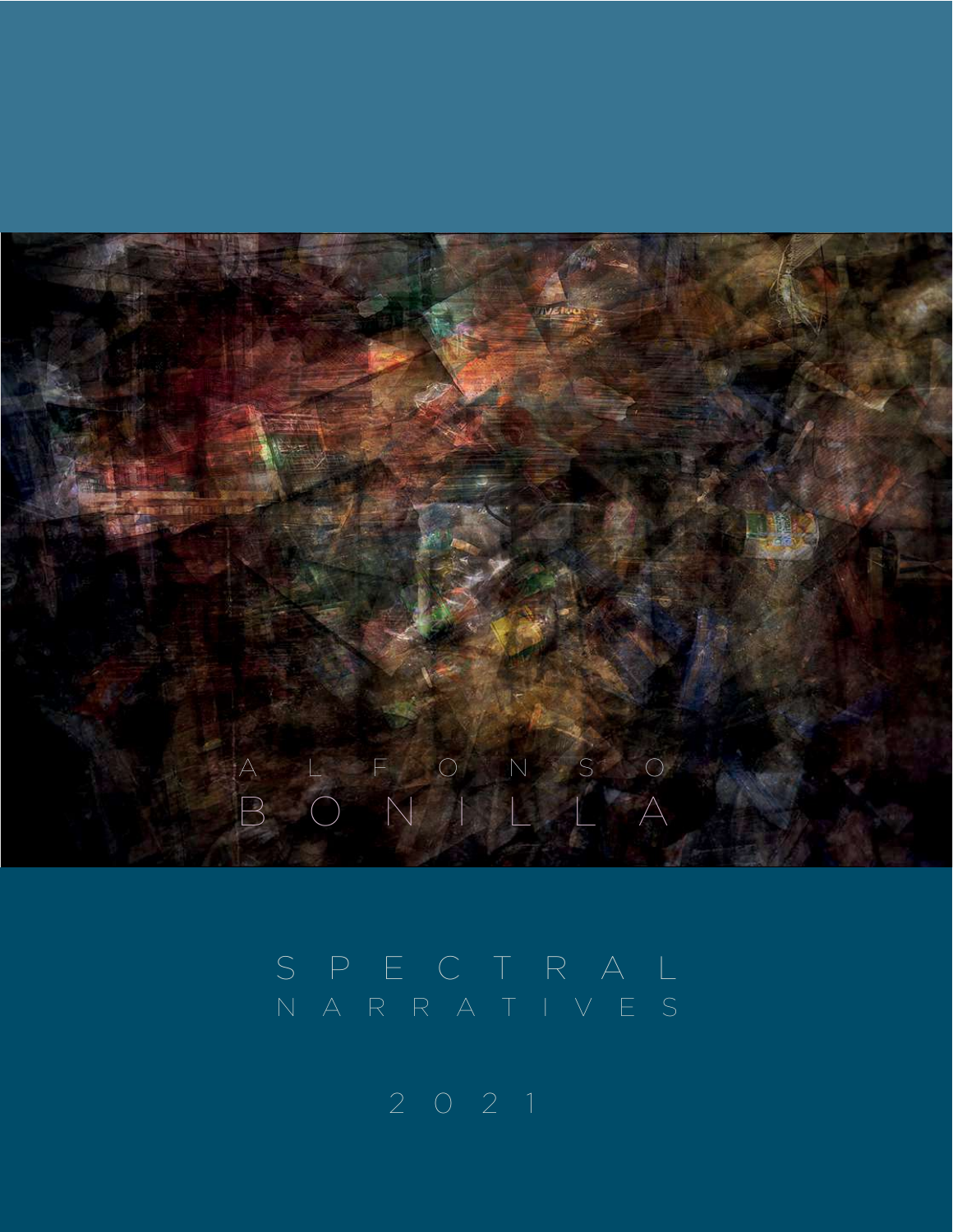

# N A R R ATIVE S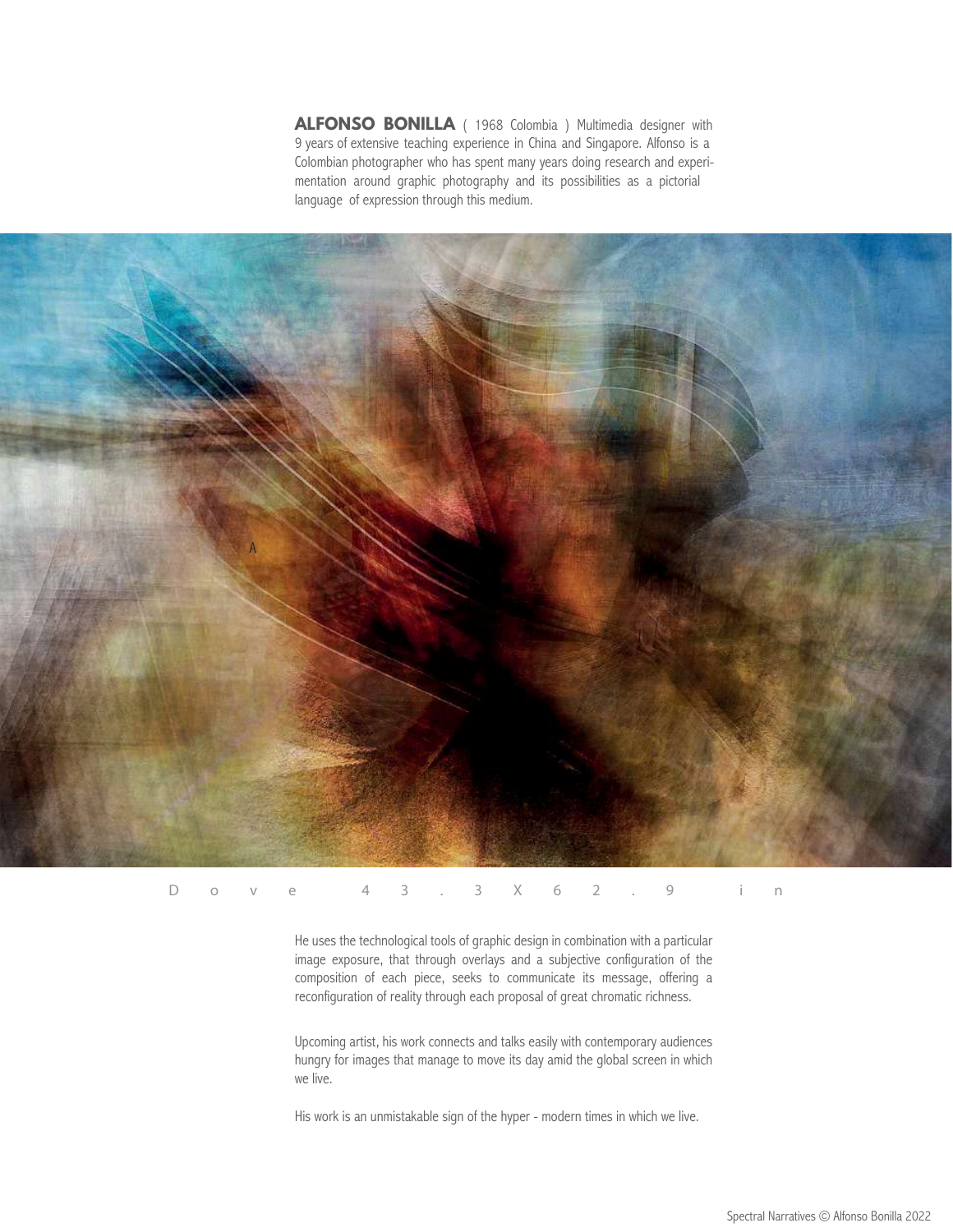**ALFONSO BONILLA** ( 1968 Colombia ) Multimedia designer with 9 years of extensive teaching experience in China and Singapore. Alfonso is a Colombian photographer who has spent many years doing research and experimentation around graphic photography and its possibilities as a pictorial language of expression through this medium.



Dove 43.3X62.9 i n

He uses the technological tools of graphic design in combination with a particular image exposure, that through overlays and a subjective configuration of the composition of each piece, seeks to communicate its message, offering a reconfiguration of reality through each proposal of great chromatic richness.

Upcoming artist, his work connects and talks easily with contemporary audiences hungry for images that manage to move its day amid the global screen in which we live.

His work is an unmistakable sign of the hyper - modern times in which we live.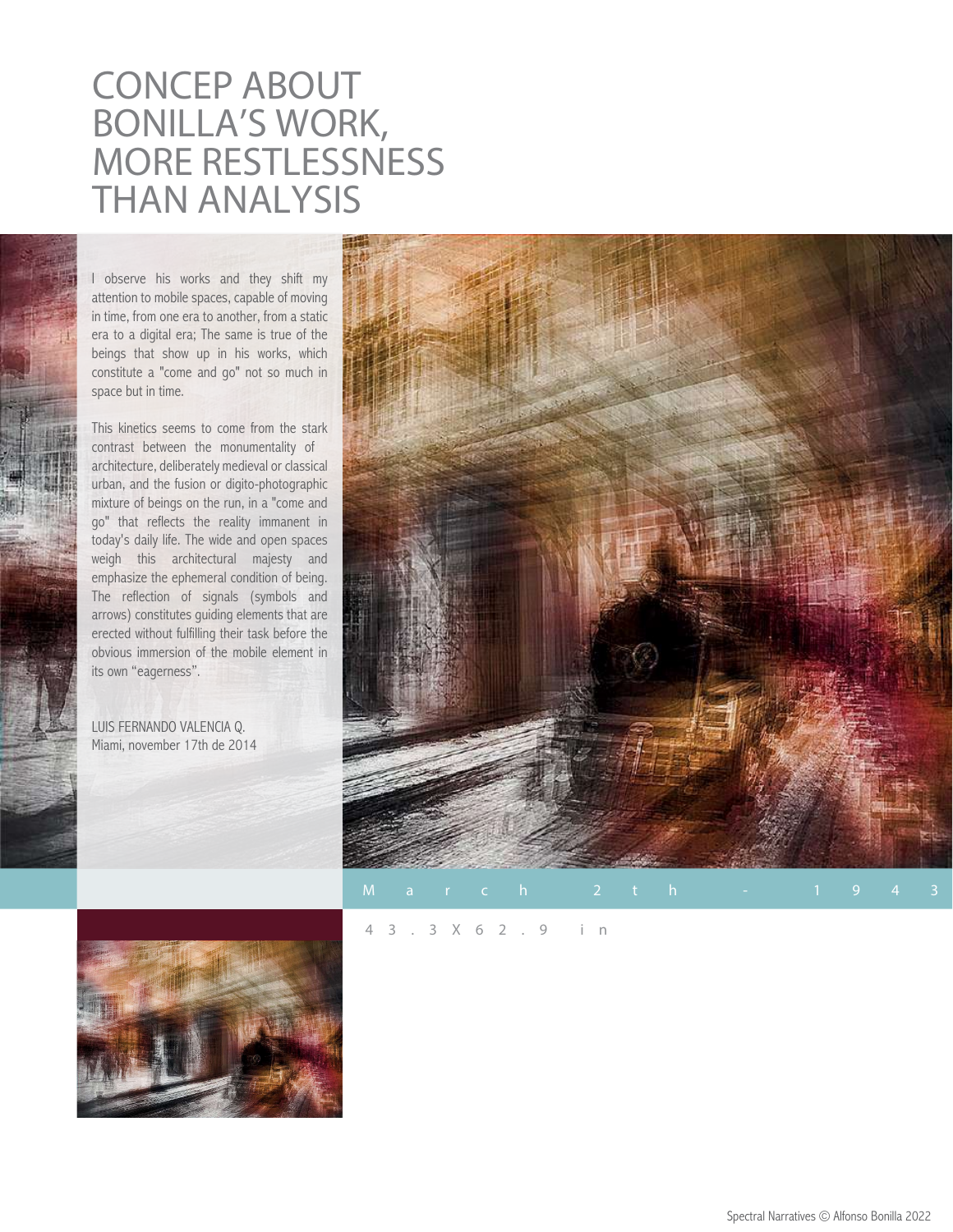# **CONCEP ABOUT BONILLA'S WORK, MORE RESTLESSNESS THAN ANALYSIS**

I observe his works and they shift my attention to mobile spaces, capable of moving in time, from one era to another, from a static era to a digital era; The same is true of the beings that show up in his works, which constitute a "come and go" not so much in space but in time.

This kinetics seems to come from the stark contrast between the monumentality of architecture, deliberately medieval or classical urban, and the fusion or digito-photographic mixture of beings on the run, in a "come and go" that reflects the reality immanent in today's daily life. The wide and open spaces weigh this architectural majesty and emphasize the ephemeral condition of being. The reflection of signals (symbols and arrows) constitutes guiding elements that are erected without fulfilling their task before the obvious immersion of the mobile element in its own "eagerness".

LUIS FERNANDO VALENCIA Q. Miami, november 17th de 2014





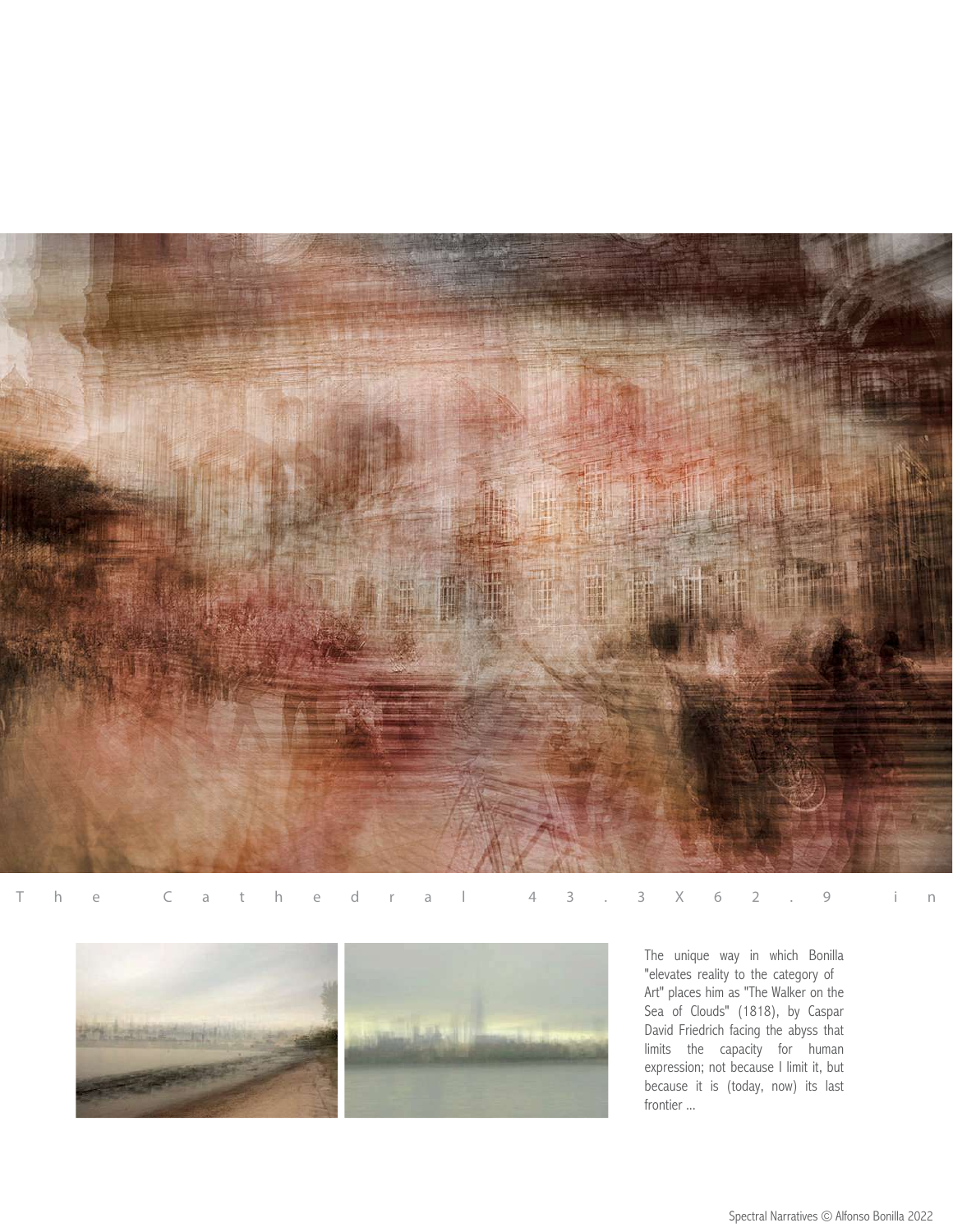

The C a the d r a l 43.3X62.9 i n



The unique way in which Bonilla "elevates reality to the category of Art" places him as "The Walker on the Sea of Clouds" (1818), by Caspar David Friedrich facing the abyss that limits the capacity for human expression; not because I limit it, but because it is (today, now) its last frontier ...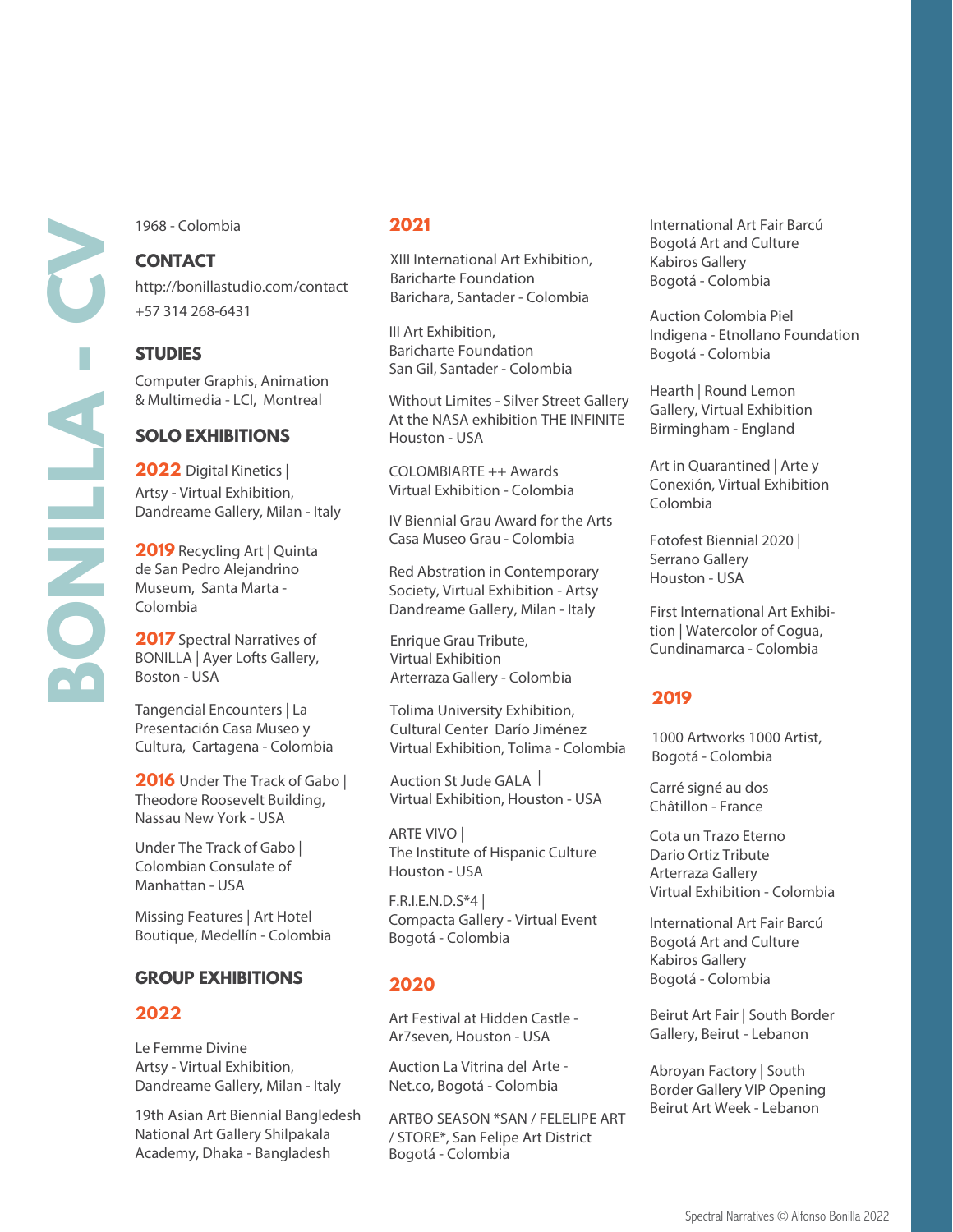1968 - Colombia

# **CONTACT**

http://bonillastudio.com/contact +57 314 268-6431

**STUDIES** Computer Graphis, Animation & Multimedia - LCI, Montreal

# **SOLO EXHIBITIONS**

**2022** Digital Kinetics | Artsy - Virtual Exhibition, Dandreame Gallery, Milan - Italy

**2019** Recycling Art | Quinta de San Pedro Alejandrino Museum, Santa Marta - Colombia

**2017** Spectral Narratives of BONILLA | Ayer Lofts Gallery, Boston - USA

Tangencial Encounters | La Presentación Casa Museo y Cultura, Cartagena - Colombia

**2016** Under The Track of Gabo | Theodore Roosevelt Building, Nassau New York - USA

Under The Track of Gabo | Colombian Consulate of Manhattan - USA

Missing Features | Art Hotel Boutique, Medellín - Colombia

# **GROUP EXHIBITIONS**

#### **2022**

Le Femme Divine Artsy - Virtual Exhibition, Dandreame Gallery, Milan - Italy Net.co, Bogotá - Colombia Border Gallery VIP Opening

19th Asian Art Biennial Bangledesh National Art Gallery Shilpakala Academy, Dhaka - Bangladesh

#### **2021**

XIII International Art Exhibition, Baricharte Foundation Barichara, Santader - Colombia

III Art Exhibition, Baricharte Foundation San Gil, Santader - Colombia

Without Limites - Silver Street Gallery At the NASA exhibition THE INFINITE Houston - USA

COLOMBIARTE ++ Awards Virtual Exhibition - Colombia

IV Biennial Grau Award for the Arts Casa Museo Grau - Colombia

Red Abstration in Contemporary Society, Virtual Exhibition - Artsy Dandreame Gallery, Milan - Italy

Enrique Grau Tribute, Virtual Exhibition Arterraza Gallery - Colombia

Tolima University Exhibition, Cultural Center Darío Jiménez Virtual Exhibition, Tolima - Colombia

Auction St Jude GALA | Virtual Exhibition, Houston - USA

ARTE VIVO | The Institute of Hispanic Culture Houston - USA

F.R.I.E.N.D.S\*4 | Compacta Gallery - Virtual Event Bogotá - Colombia

# **2020**

Art Festival at Hidden Castle - Ar7seven, Houston - USA

Auction La Vitrina del Arte - Net.co, Bogotá - Colombia

ARTBO SEASON \*SAN / FELELIPE ART / STORE\*, San Felipe Art District Bogotá - Colombia

International Art Fair Barcú Bogotá Art and Culture Kabiros Gallery Bogotá - Colombia

Auction Colombia Piel Indigena - Etnollano Foundation Bogotá - Colombia

Hearth | Round Lemon Gallery, Virtual Exhibition Birmingham - England

Art in Quarantined | Arte y Conexión, Virtual Exhibition Colombia

Fotofest Biennial 2020 | Serrano Gallery Houston - USA

First International Art Exhibition | Watercolor of Cogua, Cundinamarca - Colombia

# **2019**

1000 Artworks 1000 Artist, Bogotá - Colombia

Carré signé au dos Châtillon - France

Cota un Trazo Eterno Dario Ortiz Tribute Arterraza Gallery Virtual Exhibition - Colombia

International Art Fair Barcú Bogotá Art and Culture Kabiros Gallery Bogotá - Colombia

Beirut Art Fair | South Border Gallery, Beirut - Lebanon

Abroyan Factory | South Beirut Art Week - Lebanon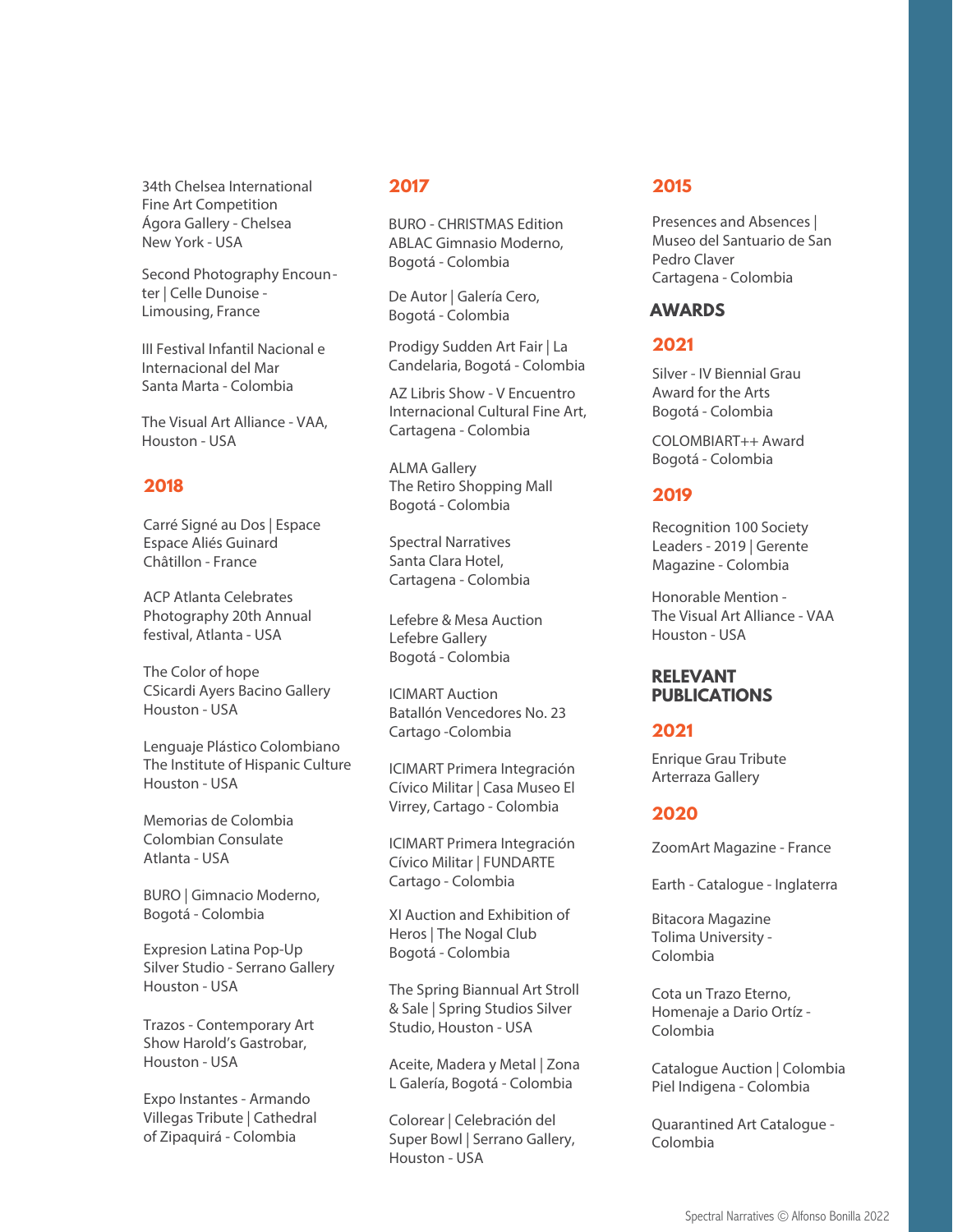34th Chelsea International Fine Art Competition Ágora Gallery - Chelsea New York - USA

Second Photography Encounter | Celle Dunoise - Limousing, France

III Festival Infantil Nacional e Internacional del Mar Santa Marta - Colombia

The Visual Art Alliance - VAA, Houston - USA

# **2018**

Carré Signé au Dos | Espace Espace Aliés Guinard Châtillon - France

ACP Atlanta Celebrates Photography 20th Annual festival, Atlanta - USA

The Color of hope Houston - USA CSicardi Ayers Bacino Gallery

Lenguaje Plástico Colombiano The Institute of Hispanic Culture Houston - USA

Memorias de Colombia Colombian Consulate Atlanta - USA

BURO | Gimnacio Moderno, Bogotá - Colombia

Expresion Latina Pop-Up Silver Studio - Serrano Gallery Houston - USA

Trazos - Contemporary Art Show Harold's Gastrobar, Houston - USA

Expo Instantes - Armando Villegas Tribute | Cathedral of Zipaquirá - Colombia

#### **2017**

BURO - CHRISTMAS Edition ABLAC Gimnasio Moderno, Bogotá - Colombia

De Autor | Galería Cero, Bogotá - Colombia

Prodigy Sudden Art Fair | La Candelaria, Bogotá - Colombia

AZ Libris Show - V Encuentro Internacional Cultural Fine Art, Cartagena - Colombia

ALMA Gallery The Retiro Shopping Mall Bogotá - Colombia

Spectral Narratives Santa Clara Hotel, Cartagena - Colombia

Lefebre & Mesa Auction Lefebre Gallery Bogotá - Colombia

ICIMART Auction Batallón Vencedores No. 23 Cartago -Colombia

ICIMART Primera Integración Cívico Militar | Casa Museo El Virrey, Cartago - Colombia

ICIMART Primera Integración Cívico Militar | FUNDARTE Cartago - Colombia

XI Auction and Exhibition of Heros | The Nogal Club Bogotá - Colombia

The Spring Biannual Art Stroll & Sale | Spring Studios Silver Studio, Houston - USA

Aceite, Madera y Metal | Zona L Galería, Bogotá - Colombia

Colorear | Celebración del Super Bowl | Serrano Gallery, Houston - USA

# **2015**

Presences and Absences | Museo del Santuario de San Pedro Claver Cartagena - Colombia

# **AWARDS**

# **2021**

Silver - IV Biennial Grau Award for the Arts Bogotá - Colombia

COLOMBIART++ Award Bogotá - Colombia

# **2019**

Recognition 100 Society Leaders - 2019 | Gerente Magazine - Colombia

Honorable Mention - The Visual Art Alliance - VAA Houston - USA

# **RELEVANT PUBLICATIONS**

# **2021**

Enrique Grau Tribute Arterraza Gallery

# **2020**

ZoomArt Magazine - France

Earth - Catalogue - Inglaterra

Bitacora Magazine Tolima University - Colombia

Cota un Trazo Eterno, Homenaje a Dario Ortíz - Colombia

Catalogue Auction | Colombia Piel Indigena - Colombia

Quarantined Art Catalogue - Colombia